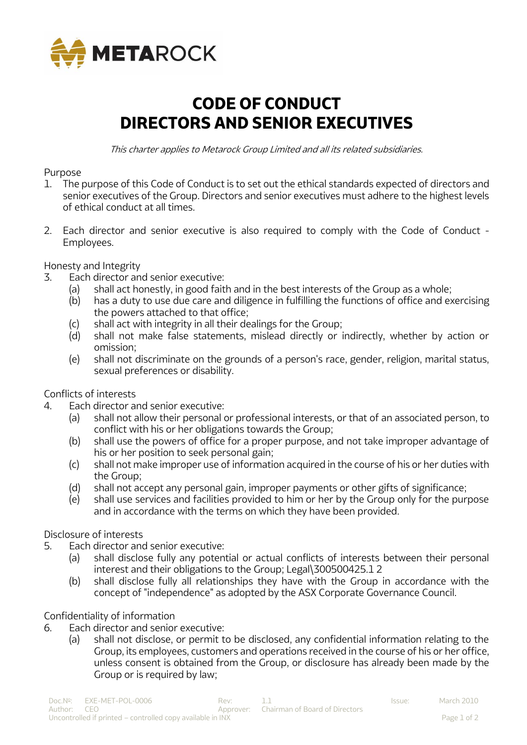

## **CODE OF CONDUCT DIRECTORS AND SENIOR EXECUTIVES**

This charter applies to Metarock Group Limited and all its related subsidiaries.

## Purpose

- 1. The purpose of this Code of Conduct is to set out the ethical standards expected of directors and senior executives of the Group. Directors and senior executives must adhere to the highest levels of ethical conduct at all times.
- 2. Each director and senior executive is also required to comply with the Code of Conduct Employees.

Honesty and Integrity

- 3. Each director and senior executive:
	- (a) shall act honestly, in good faith and in the best interests of the Group as a whole;
	- (b) has a duty to use due care and diligence in fulfilling the functions of office and exercising the powers attached to that office;
	- (c) shall act with integrity in all their dealings for the Group;
	- (d) shall not make false statements, mislead directly or indirectly, whether by action or omission;
	- (e) shall not discriminate on the grounds of a person's race, gender, religion, marital status, sexual preferences or disability.

Conflicts of interests

- 4. Each director and senior executive:
	- (a) shall not allow their personal or professional interests, or that of an associated person, to conflict with his or her obligations towards the Group;
	- (b) shall use the powers of office for a proper purpose, and not take improper advantage of his or her position to seek personal gain;
	- (c) shall not make improper use of information acquired in the course of his or her duties with the Group;
	- (d) shall not accept any personal gain, improper payments or other gifts of significance;
	- (e) shall use services and facilities provided to him or her by the Group only for the purpose and in accordance with the terms on which they have been provided.

## Disclosure of interests

- 5. Each director and senior executive:
	- (a) shall disclose fully any potential or actual conflicts of interests between their personal interest and their obligations to the Group; Legal\300500425.1 2
	- (b) shall disclose fully all relationships they have with the Group in accordance with the concept of "independence" as adopted by the ASX Corporate Governance Council.

## Confidentiality of information

- 6. Each director and senior executive:
	- (a) shall not disclose, or permit to be disclosed, any confidential information relating to the Group, its employees, customers and operations received in the course of his or her office, unless consent is obtained from the Group, or disclosure has already been made by the Group or is required by law;